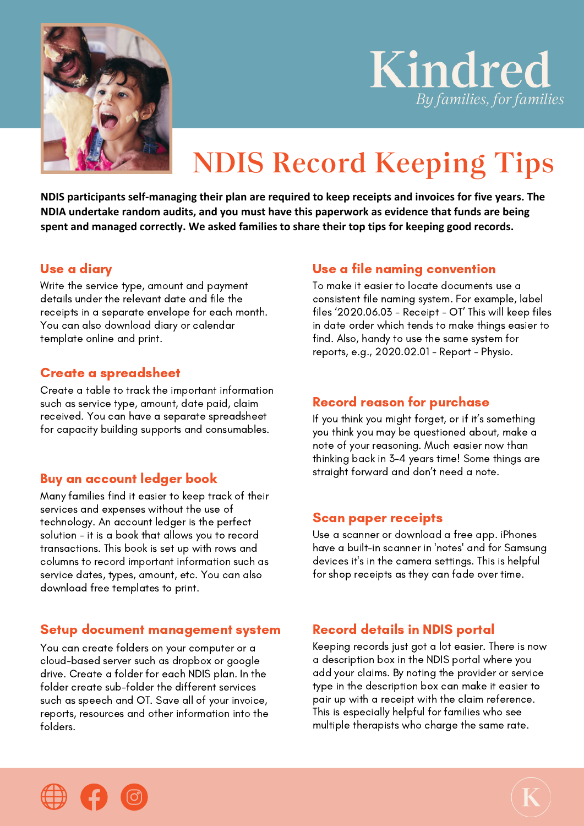

# Kindred *By families, for families*

# **NDIS Record Keeping Tips**

**NDIS participants self-managing their plan are required to keep receipts and invoices for five years. The NDIA undertake random audits, and you must have this paperwork as evidence that funds are being spent and managed correctly. We asked families to share their top tips for keeping good records.**

#### Use a diary

Write the service type, amount and payment details under the relevant date and file the receipts in a separate envelope for each month. You can also download diary or calendar template online and print.

#### Create a spreadsheet

Create a table to track the important information such as service type, amount, date paid, claim received. You can have a separate spreadsheet for capacity building supports and consumables.

#### Buy an account ledger book

Many families find it easier to keep track of their services and expenses without the use of technology. An account ledger is the perfect solution - it is a book that allows you to record transactions. This book is set up with rows and columns to record important information such as service dates, types, amount, etc. You can also download free templates to print.

#### Setup document management system

You can create folders on your computer or a cloud-based server such as dropbox or google drive. Create a folder for each NDIS plan. In the folder create sub-folder the different services such as speech and OT. Save all of your invoice, reports, resources and other information into the folders.

### Use a file naming convention

To make it easier to locate documents use a consistent file naming system. For example, label files '2020.06.03 - Receipt - OT' This will keep files in date order which tends to make things easier to find. Also, handy to use the same system for reports, e.g., 2020.02.01 - Report - Physio.

### Record reason for purchase

If you think you might forget, or if it's something you think you may be questioned about, make a note of your reasoning. Much easier now than thinking back in 3-4 years time! Some things are straight forward and don't need a note.

#### Scan paper receipts

Use a scanner or download a free app. iPhones have a built-in scanner in 'notes' and for Samsung devices it's in the camera settings. This is helpful for shop receipts as they can fade over time.

# Record details in NDIS portal

Keeping records just got a lot easier. There is now a description box in the NDIS portal where you add your claims. By noting the provider or service type in the description box can make it easier to pair up with a receipt with the claim reference. This is especially helpful for families who see multiple therapists who charge the same rate.